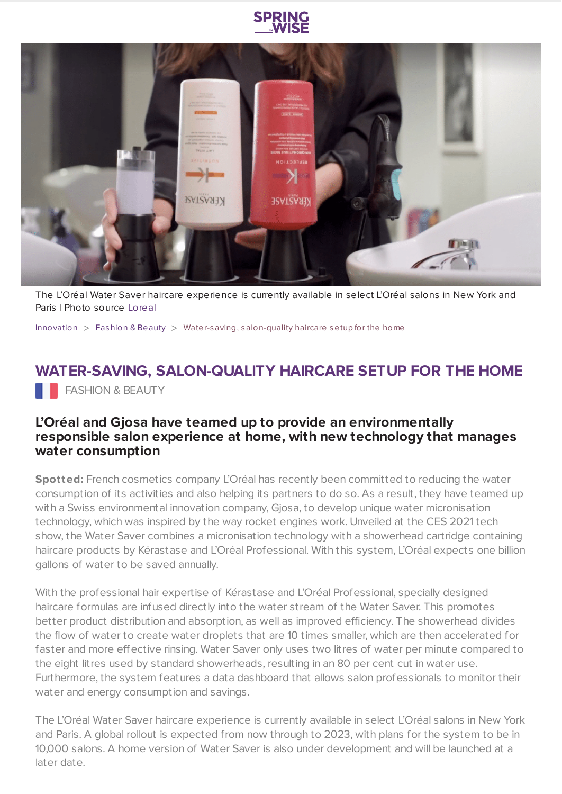



The L'Oréal Water Saver haircare experience is currently available in select L'Oréal salons in New York and Paris | Photo source [Loreal](https://www.loreal.com/en/articles/science-and-technology/2021/01/08/15/57/loreal-water-saver-the-new-sustainable-haircare-system/)

[Innovation](https://www.springwise.com/search?type=innovation)  $>$  [Fashion](https://www.springwise.com/search?type=innovation§or=design-fashion-and-beauty) & Beauty  $>$  Water-saving, salon-quality haircare setup for the home

## **WATER-SAVING, SALON-QUALITY HAIRCARE SETUP FOR THE HOME FASHION & BEAUTY**

## **L'Oréal and Gjosa have teamed up to provide an environmentally responsible salon experience at home, with new technology that manages water consumption**

**Spotted:** French cosmetics company L'Oréal has recently been committed to reducing the water consumption of its activities and also helping its partners to do so. As a result, they have teamed up with a Swiss environmental innovation company, Gjosa, to develop unique water micronisation technology, which was inspired by the way rocket engines work. Unveiled at the CES 2021 tech show, the Water Saver combines a micronisation technology with a showerhead cartridge containing haircare products by Kérastase and L'Oréal Professional. With this system, L'Oréal expects one billion gallons of water to be saved annually.

With the professional hair expertise of Kérastase and L'Oréal Professional, specially designed haircare formulas are infused directly into the water stream of the Water Saver. This promotes better product distribution and absorption, as well as improved efficiency. The showerhead divides the flow of water to create water droplets that are 10 times smaller, which are then accelerated for faster and more effective rinsing. Water Saver only uses two litres of water per minute compared to the eight litres used by standard showerheads, resulting in an 80 per cent cut in water use. Furthermore, the system features a data dashboard that allows salon professionals to monitor their water and energy consumption and savings.

The L'Oréal Water Saver haircare experience is currently available in select L'Oréal salons in New York and Paris. A global rollout is expected from now through to 2023, with plans for the system to be in 10,000 salons. A home version of Water Saver is also under development and will be launched at a later date.